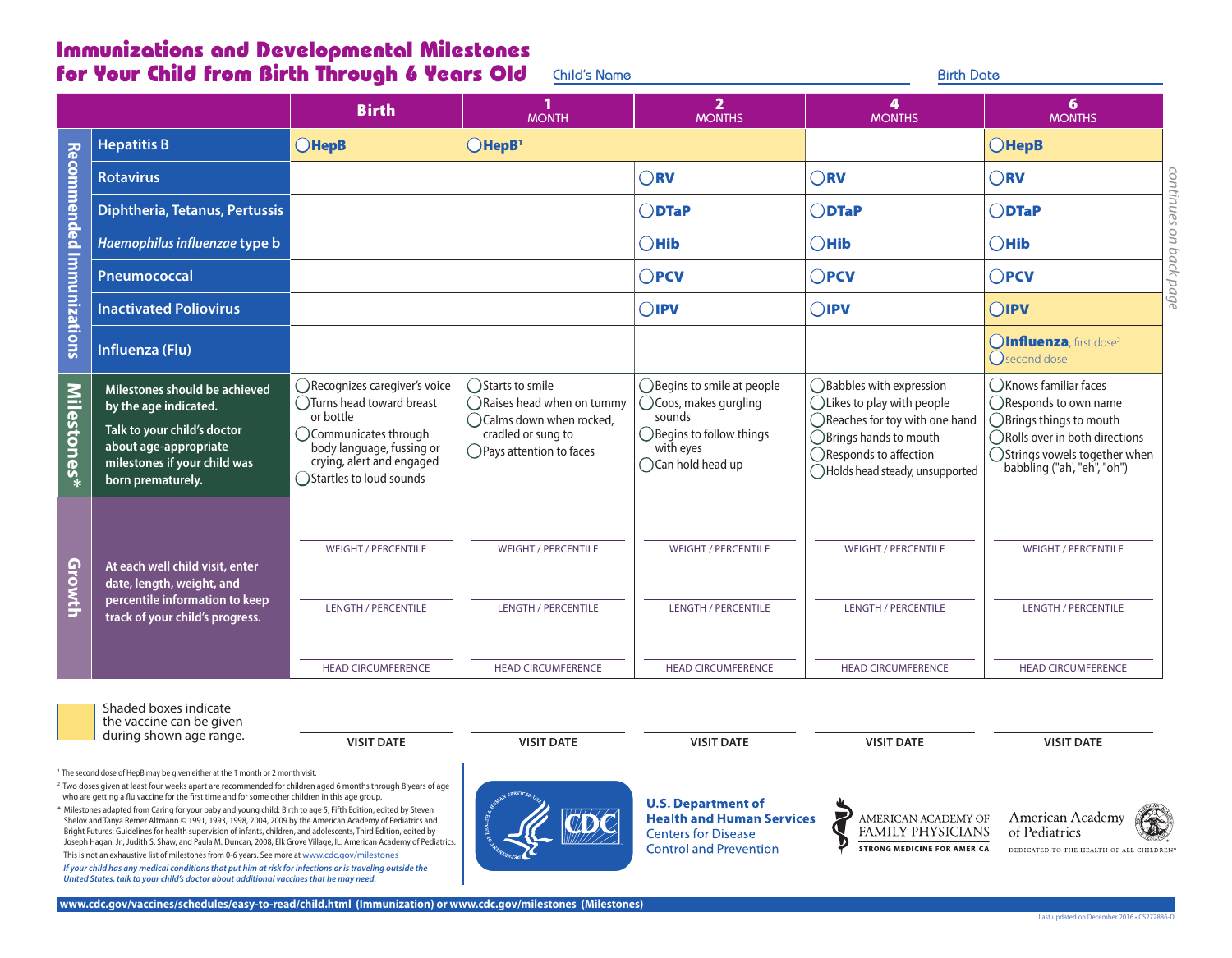## Immunizations and Developmental Milestones **for Your Child from Birth Through 6 Years Old** Child's Name **Birth Date Birth Date**

|                           |                                                                                                                                                                     | <b>Birth</b>                                                                                                                                                                             | <b>MONTH</b>                                                                                                                   | $\overline{2}$<br><b>MONTHS</b>                                                                                                                  | 4<br><b>MONTHS</b>                                                                                                                                                                                            | 6<br><b>MONTHS</b>                                                                                                                                                                                   |
|---------------------------|---------------------------------------------------------------------------------------------------------------------------------------------------------------------|------------------------------------------------------------------------------------------------------------------------------------------------------------------------------------------|--------------------------------------------------------------------------------------------------------------------------------|--------------------------------------------------------------------------------------------------------------------------------------------------|---------------------------------------------------------------------------------------------------------------------------------------------------------------------------------------------------------------|------------------------------------------------------------------------------------------------------------------------------------------------------------------------------------------------------|
|                           | <b>Hepatitis B</b>                                                                                                                                                  | <b>OHepB</b>                                                                                                                                                                             | $O$ HepB <sup>1</sup>                                                                                                          |                                                                                                                                                  |                                                                                                                                                                                                               | $O$ HepB                                                                                                                                                                                             |
| Recommended Immunizations | <b>Rotavirus</b>                                                                                                                                                    |                                                                                                                                                                                          |                                                                                                                                | $\bigcap$ RV                                                                                                                                     | $\bigcap$ RV                                                                                                                                                                                                  | con<br>$\bigcap$ RV                                                                                                                                                                                  |
|                           | <b>Diphtheria, Tetanus, Pertussis</b>                                                                                                                               |                                                                                                                                                                                          |                                                                                                                                | $\bigcirc$ DTaP                                                                                                                                  | $\bigcirc$ DTaP                                                                                                                                                                                               | tinues<br>$\bigcirc$ DTaP                                                                                                                                                                            |
|                           | Haemophilus influenzae type b                                                                                                                                       |                                                                                                                                                                                          |                                                                                                                                | $\bigcirc$ Hib                                                                                                                                   | $\bigcirc$ Hib                                                                                                                                                                                                | S<br>$\bigcirc$ Hib<br>d                                                                                                                                                                             |
|                           | Pneumococcal                                                                                                                                                        |                                                                                                                                                                                          |                                                                                                                                | $\bigcap$ PCV                                                                                                                                    | $\bigcap$ PCV                                                                                                                                                                                                 | $\bigcap$ PCV<br>$\asymp$<br>₽                                                                                                                                                                       |
|                           | <b>Inactivated Poliovirus</b>                                                                                                                                       |                                                                                                                                                                                          |                                                                                                                                | $\bigcirc$ IPV                                                                                                                                   | $\bigcirc$ IPV                                                                                                                                                                                                | 6<br>OIPV<br>$\sigma$                                                                                                                                                                                |
|                           | Influenza (Flu)                                                                                                                                                     |                                                                                                                                                                                          |                                                                                                                                |                                                                                                                                                  |                                                                                                                                                                                                               | <b>OInfluenza</b> , first dose <sup>2</sup><br>$\bigcap$ second dose                                                                                                                                 |
| Milestones*               | Milestones should be achieved<br>by the age indicated.<br>Talk to your child's doctor<br>about age-appropriate<br>milestones if your child was<br>born prematurely. | ○Recognizes caregiver's voice<br>◯Turns head toward breast<br>or bottle<br>◯ Communicates through<br>body language, fussing or<br>crying, alert and engaged<br>◯ Startles to loud sounds | ◯Starts to smile<br>◯Raises head when on tummy<br>◯ Calms down when rocked,<br>cradled or sung to<br>◯ Pays attention to faces | $\bigcirc$ Begins to smile at people<br>◯ Coos, makes gurgling<br>sounds<br>◯ Begins to follow things<br>with eyes<br>$\bigcap$ Can hold head up | ◯ Babbles with expression<br>$\bigcap$ Likes to play with people<br>$\bigcap$ Reaches for toy with one hand<br>$\bigcap$ Brings hands to mouth<br>○ Responds to affection<br>◯ Holds head steady, unsupported | (C) Knows familiar faces<br>◯ Responds to own name<br>$\bigcirc$ Brings things to mouth<br>◯ Rolls over in both directions<br>$\bigcirc$ Strings vowels together when<br>babbling ("ah', "eh", "oh") |
| Growth                    | At each well child visit, enter<br>date, length, weight, and<br>percentile information to keep<br>track of your child's progress.                                   | <b>WEIGHT / PERCENTILE</b><br><b>LENGTH / PERCENTILE</b>                                                                                                                                 | <b>WEIGHT / PERCENTILE</b><br><b>LENGTH / PERCENTILE</b>                                                                       | <b>WEIGHT / PERCENTILE</b><br><b>LENGTH / PERCENTILE</b>                                                                                         | <b>WEIGHT / PERCENTILE</b><br><b>LENGTH / PERCENTILE</b>                                                                                                                                                      | <b>WEIGHT / PERCENTILE</b><br><b>LENGTH / PERCENTILE</b>                                                                                                                                             |
|                           |                                                                                                                                                                     | <b>HEAD CIRCUMFERENCE</b>                                                                                                                                                                | <b>HEAD CIRCUMFERENCE</b>                                                                                                      | <b>HEAD CIRCUMFERENCE</b>                                                                                                                        | <b>HEAD CIRCUMFERENCE</b>                                                                                                                                                                                     | <b>HEAD CIRCUMFERENCE</b>                                                                                                                                                                            |

Shaded boxes indicate

the vaccine can be given during shown age range.

**VISIT DATE VISIT DATE VISIT DATE VISIT DATE VISIT DATE**

**U.S. Department of Health and Human Services** 

**Centers for Disease Control and Prevention** 

AMERICAN ACADEMY OF FAMILY PHYSICIANS

**STRONG MEDICINE FOR AMERICA** 

 $\blacksquare$ 

American Academy

of Pediatrics

<sup>1</sup> The second dose of HepB may be given either at the 1 month or 2 month visit.

<sup>2</sup> Two doses given at least four weeks apart are recommended for children aged 6 months through 8 years of age who are getting a flu vaccine for the first time and for some other children in this age group.

\* Milestones adapted from Caring for your baby and young child: Birth to age 5, Fifth Edition, edited by Steven Shelov and Tanya Remer Altmann © 1991, 1993, 1998, 2004, 2009 by the American Academy of Pediatrics and Bright Futures: Guidelines for health supervision of infants, children, and adolescents, Third Edition, edited by Joseph Hagan, Jr., Judith S. Shaw, and Paula M. Duncan, 2008, Elk Grove Village, IL: American Academy of Pediatrics.

This is not an exhaustive list of milestones from 0-6 years. See more at www.cdc.gov/milestones *If your child has any medical conditions that put him at risk for infections or is traveling outside the United States, talk to your child's doctor about additional vaccines that he may need.*

DEDICATED TO THE HEALTH OF ALL CHILDREN<sup>®</sup>